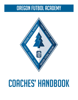# Oregon Futbol Academy



# COACHES' HANDBOOK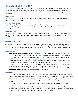# OFA Mission Statement and Philosophy

Soccer is a game for the kids. Therefore, at the heart of our mission, OFA expects the highest character from all players, parents, spectators, coaches, referees, volunteers, and administrators. It is the common goal of this club among all its participants to inspire youth to practice the ideals of good sportsmanship and fair play.

#### **MISSION STATEMENT**

The mission of OFA is to provide a fun, safe, all-inclusive soccer experience that develops players and coaches to their full potential.

#### Player Development Philosophy

Children learn and develop to their full potential through game-like experiences in an enjoyable environment that supports individual growth. This is modeled in the Play-Practice-Play practice plans from US Soccer.

#### Coaching Philosophy

Coaches provide a player-centered environment through reality-based, experiential, and holistic learning. In order to provide the best player experience, coaches are highly encouraged to take at least one of the US Soccer Grassroots online courses.

# Coach Responsibilities

Coaches play an incredibly important role in a player's sports experience. In short, coaches must be a positive and healthy influence on a player. A coach must promote good sportsmanship, safety, and work ethic. He/she must also encourage teamwork and discipline. Coaches must set an example for his/her players at all times.

#### Coach Requirements

- **Background check, SafeSport** annual online training, and **Heads Up** online concussion training. All adults working with players at any time must have completed these three items. ONLY rostered and carded coaches and team managers may be on the team sideline during games. Send certificates to OFA registrar. registrar@oregonfutbolacademy.com
- Coach behavior should follow the policies outlined in this handbook. In short, represent yourself, your team, and your club in a manner consistent with good sportsmanship.
- DO NOT leave practice or the game field until ALL players have been picked up. Plan to arrive early to practice whenever possible in order to be present as players arrive.
- When your practice or game is complete, please clear the field of all debris and return training equipment to storage and goals to game-ready placement.

#### Coach Conduct

- Coaches shall not make any derogatory remarks or gestures whatsoever to the referees, linesmen, players, opposing coaches, or spectators. Coaches shall not use profanity in speaking with players, coaches, referees, linesmen, or spectators. Coaches shall not incite in any manner disruptive behavior of any kind. Coaches shall not harangue or attempt to distract players, referees, or linesmen.
- Coaches shall be fully responsible for the conduct of his/herself, his/her players, and assistant coaches.
- Coaches shall not consume alcoholic beverages, smoke, or be under the influence of any drugs or alcohol during games, practices, or OFA sponsored events, including but not limited to out of town travel for games and/or tournaments, team dinners, and hotel stays.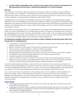Coaches shall be responsible at the conclusion of any game and/or practice for assuring that all litter generated by his/her team is collected and disposed of in a trash receptacle.

#### Mercy Rule

The emphasis in youth sports, driven by parents and coaches, is often on winning. It is less important to coach players to win—instead it is more important to teach them the soccer and life skills that will help them become winners. The mercy rule is common to soccer leagues across the country and is not unique to OFA. In general, it is good practice to keep the scores within 7 points.

Lopsided games in youth sports are inevitable, and care must be taken not to demoralize the weaker opponent. It can be a challenge to coaches of both teams to make uneven games a worthwhile soccer experience for everyone involved. Demonstrating good sportsmanship and fair play are essential in these situations. If handled properly by coaches, there can be dignity and room to learn in defeat and respect and restraint in victory.

If your team is winning easily, see it as an opportunity for your players to develop skills other than shooting. When your team is dominating, try to change things up early in the game so that players will continue to be challenged and the win isn't too easy. At older ages, it hurts a team to win too easily because players get overconfident, play slower, start to dribble too much, and not play as a team. These bad habits tend to carry on into subsequent games at the expense of team development.

#### The following are possible actions that can be taken to further challenge and develop player skills of the stronger team in a lopsided game.

- Put players out of their preferred position. All players should have opportunities to play offense and defense. Shift your lineup.
- Restrict scoring from close range. Only shoot from outside the penalty area.
- Only score from crosses, headers, or volleys. No break away goals.
- Practice passing and shooting with the weaker, non-dominant foot.
- Keep possession for long periods and only shoot when they have made a set number of passes.
- Use different lineups that emphasize defensive focus and less on going forward.
- Increase playing time for lesser skilled players.
- Limit the number of touches on the ball or two-touch or three-touch before passing or shooting.
- Remove one of your players or discretely ask the other coach to put in an extra player. Be sure to make this change during a dead ball substitution with the permission of the referee.

In order to emphasize sportsmanship, make sure that your instructions to your team are not given in an overt way that will demoralize your opponent. Instruct your team to continue to respect the other team by not overtly celebrating when they score. As a coach, it is your duty to model respect for your opponent to your players. In the end, sportsmanship and fair play are more important than an 8-0 victory.

As a coach, if your team has just been on the receiving end of a heavy defeat, use the experience to teach your players. Start out with the positive and point out what your team did well in the game. Question your players about what they noticed about the winning team. For example, did they see their off-ball movement that created space to receive a pass, or did they hear how well the other team communicated?

#### Sideline Coaching

- Coaching will take place within the coaches' box, which is ten yards from the half-way line and one yard from the touch line.
- Language and attitude will be consistent with good sportsmanship. Misconduct of any kind, or the incitement and/or encouragement of violence shall not be tolerated under any circumstances and is subject to disciplinary action.
- A coach may not enter the field of play except on the referee's signal.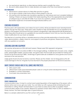- No mechanical, electrical, or other devices shall be used to amplify the voice.
- Be sure to allow players time to make decisions and apply what they have learned in practice.

#### Risk Management

- Never leave a player alone at a field after practice or game.
- Do not give a player a ride home without others present in the car.
- All coaches and volunteers are mandatory reporters for child abuse and must complete SafeSport training. If there is an issue or incident that needs reporting, fill out the appropriate documentation at safesport.org or call (720) 531-0340. If you have any questions, please contact the OFA Recreation Supervisor at recreation@oregonfutbolacademy.com.

# Coaching Resources

Practice plans with explanations and videos for each activity will be provided for each developmental division through the Mojo app. These plans were created to help standardize the soccer experience for players in the program and ensure that each player is progressing in age-appropriate skill development. While these plans should serve as a guideline for your practice sessions, know that you have the option to make modifications for your team as needed.

The directors of coaching will be a valuable resource as they provide explanations of practice plans, video demonstrations, weekly check-ins, and support at practices and games. Please reach out to them with any questions or concerns.

## Coaching Gear and Equipment

All coaches will receive an OFA shirt each season. Please wear OFA apparel to all games.

All practice equipment is located at DBSC in the storage buildings. Available items include cones, weights, poles, speed/agility ladders, practice balls, and game balls. Practice balls are provided for training and should not be removed from DBSC. Small bags of game balls are available for away games and must be returned at the next practice.

Large goals should only be moved by coaches. Please use the wheels—do not drag goals as this will cause damage to the turf. All goals must be returned to the proper placement at the end of practice.

# What Coaches Should Have at All Games and Practices

- OFA coach's shirt
- Official team roster (and laminated player cards on a ring for senior development teams)
- Emergency contact information
- Concussion documentation form

# Communication

#### Parent Communication

Communication is key. It is best to contact each parent/guardian at the beginning of the season with a phone call as soon as you get your roster. You can follow up with a group email containing the same information in writing. Present all information to your team as early and as often as possible. Parent communication needs to be a priority. Respond to questions and/or direct them to OFA as needed in a timely manner. The Team Manager app is a good resource.

Below is a sample call/email for your first contact with parents.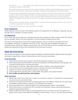My name is \_\_\_\_\_\_\_\_\_ and I will be your child's soccer coach this season. I am looking forward to having your family on the team!

We will be practicing on [day(s) of the week] at [time] at [field location] beginning on [date of first practice]. We will have a short parent & player meeting at the beginning of our first practice.

All players (excluding Kinder) will need to order a uniform if they did not purchase one in the Fall (current uniform was changed Fall 2021 and will be good for 3 years). If you have any questions regarding your uniform, please contact the OFA office. Players must have a home and away uniform consisting of shorts, shirt, and socks. Your player must also have proper footwear and shin guards.

Please have your player bring a water bottle to every practice and game with his or her name on it. All other equipment will be provided.

Thank you! (Include your name and phone number)

#### Referee Communication

Please keep all communication with referees positive and supportive. All challenges or disputes must go through OFA as needed in a timely manner.

#### OFA Communication

If your team will not be using your scheduled practice time outdoors or indoors, please notify OFA staff as soon as possible. Fees for use and supervision can be avoided if facilities are not used.

OFA teams are expected to honor their scheduled games. OFA incurs fees for any games that are rescheduled, canceled, or forfeited in the SOCL or PTTL. These fees are avoidable if changes are requested well in advanced. Please communicate with your team that once the schedules are posted, players are expected to be at their scheduled home and away matches.

## Parent and Player Meeting

All coaches are asked to hold a parent & player meeting at their first practice. Please review the player and parent expectations, snacks, smoke protocol, and concussion procedure.

#### Player Expectations

- 1) Work hard at practice and in games. We are developing as players and as a team.
- 2) Demonstrate good sportsmanship in practices and games, including attitude and language. This includes showing grace in winning and losing.
- 3) Show respect to coaches, fellow teammates, parents, referees, and opposing players.
- 4) Communicate with your teammates and your coaches. Soccer is not a silent sport.
- 5) Support your team and be positive toward your teammates.
- 6) Come prepared to practice with a water bottle, shin guards, and proper footwear.
- 7) Pick up after yourself at practice and at games.

#### Parent Expectations

- 1) Please call or text if your child can't make it to a practice or game. It is important for planning that the coach knows who will be there.
- 2) Thank you for supporting the team by being positive from the sidelines. Please do not coach from the sidelines during practice or games. It is confusing to the players.
- 3) Set an example for your child with respect for opposing players, parents, and referees.
- 4) Play-Practice-Play is a model that OFA coaches use at practice. Players will be practicing and learning in game-like situations.
- 5) Please understand that the goal of developmental soccer is to foster a love of the game in all players and to teach them skills and strategies for each position. As such, coaches will do the best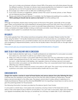they can to make sure all players will play at least 50% of the game and will rotate players through the different positions. This does not always mean equal playing time, but balance is a goal. (Note: playing time on U13/14/15 premier teams is earned and not guaranteed.).

- 6) Encourage your child to work on skills and conditioning at home.
- 7) If you have concerns or suggestions, please contact the coach via email, phone, or text. Please do not interrupt practices or games.
- 8) Please park behind the grandstands, if available. Use the fairgrounds parking lot as overflow. The YMCA parking lot should only be used as a last resort if all other parking is full.

#### **SNACKS**

Although not required, players enjoy having snacks at the end of the game, especially at the younger ages. Often young players are more interested in receiving their snack than they are in the outcome of the game. It is not your responsibility as a coach to provide these refreshments. However, it is helpful if you make a schedule and assign families to bring a small snack and drink, have them sign up on a schedule, or assign a team parent to coordinate the snack schedule.

# **AIR QUALITY**

If the AQI is greater than 100 outdoor practices and games will be canceled. Please monitor the AQI levels using the District 7 Air Quality Dashboard and be sure to communicate any cancelations with your team. The link is posted for your convenience below and can also be found by going to the D7 website and navigating to Departments/Safety. Look for the Air Quality Index in the Quick Links on the right side of the page.

https://charts.apis-aq.com/grantspassschooldistrict/d/pH7MFidMk/district-7?orgId=1

# What to do if your child may have a concussion

- 1) Seek medical attention right away. A health professional can determine if a concussion occurred, how serious it is, and when it's safe for your child to return to sports.
- 2) Keep your child out of play. Concussions take time to heal. Don't let your child return to play until a health care professional says it's OK, even if your child insists otherwise. Children who return to play too soon—while the brain is still healing—risk a greater chance of having a second concussion. Second or later concussions can be extremely serious. They can cause permanent brain damage, affecting your child for a lifetime.
- 3) Tell your child's coach about any recent concussion in ANY sport. The coach may not know about a previous concussion, and there could be serious health risks for your child.

## Concussion Facts

Oregon law requires coaches to report all head injuries and remove players from play following the injury. Coaches are now required to document and turn into the OFA office incidents of head injury. The refs keep a record and report to the office also. The player cannot return to play without a signature of a medical professional. Please see the attached REQUIRED form for reporting a head injury as well as one to give the parent/guardian for the physician.

The following information has been provided by Providence Sports Care Center:

A concussion is a brain injury. Concussions are caused by a bump or blow to the head and can be serious. Even what seems to be a mild hit can be serious. You can't see a concussion. Signs and symptoms can appear immediately after the injury or sometimes not until days or weeks later. If your child reports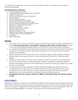any symptoms of concussion, or if you notice the symptoms yourself, it's important to seek medical attention immediately.

#### Signs and symptoms of a concussion

- Appears dazed or stunned
- Is confused about sports assignment or position
- Forgets an instruction
- Is unsure of the game score or opponent
- Moves clumsily
- Answers questions slowly
- Loses consciousness (even briefly)
- Shows behavior or personality changes
- Can't recall events before or after the hit/fall
- Headache or pressure in the head
- Nausea or vomiting
- Balance problems or dizziness
- Double or blurry vision
- Sensitivity to light or noise
- Sluggish, hazy, foggy, or groggy feeling
- Concentration or memory problems
- **Confusion**
- Doesn't feel right

## Uniforms

- Each player and coach must wear OFA-approved uniform jersey or shirt in order to participate in a game. Each parent/guardian is responsible for ordering an OFA uniform for his/her player. Check in with your team/players regarding uniforms and notify OFA of any issues as soon as possible.
- It is mandatory that all players also wear their own footwear and shin guards in order to participate in a game. Acceptable footwear shall include sneakers or soccer cleats. Football or baseball cleats are not permitted.
- Players must also wear shorts and socks that cover their shin guards. When weather conditions dictate, players may wear warm-ups or other clothing under their uniforms, if allowed by the referee.
- No jewelry may be worn on the field of play, either for a game or a practice. Such jewelry shall include, but not be limited to, watches, earrings, necklaces, bracelets, or piercings. Medical bracelets are allowed, but they must be taped down to the body. Taping or covering of any other jewelry is not permitted.
- No equipment, outerwear, apparel, or medical device (including casts) shall be worn if it is considered harmful or dangerous to the player wearing it or to another player. Casts may be permitted if they are safely covered by closed cell foam padding. Coaches shall make this determination for practices. Referees shall make this determination for games.
- Goalkeepers must wear a jersey or pinnie of a different color than the team. This will be provided by OFA.

# PI AVER ELIGIBILITY

Registration, payment, and player documents (birth certificates and photos for senior development teams only) must be complete in order for a player to participate in games. OFA will contact player families and ask for your support in making sure that all players have completed the necessary requirements. OFA will communicate player eligibility to coaches 1 week prior to the start of the game season.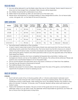# Field Use Rules

- 1) No one will be allowed to use the fields unless they are on the schedule. Teams need to leave on time and not stay longer than scheduled. Field closures will be respected.
- 2) No children should be left unattended at any time.
- 3) Fields need to be picked up after use and trash put in the trash cans.
- 4) Please return all equipment to storage building or other designated location. Do not leave balls, cones, mini-goals, etc. on the field at the end of practice.

| <b>Division</b> | Players<br>per side | <b>Ball</b><br>size | Practice<br>length | <b>Practices</b><br>per week | Game<br>length<br>per half | Re-<br>throws<br>allowed | <b>Offside</b><br>calls &<br><b>Goalies</b> | Slide<br>tackling | <b>Head the</b><br>soccer ball |
|-----------------|---------------------|---------------------|--------------------|------------------------------|----------------------------|--------------------------|---------------------------------------------|-------------------|--------------------------------|
| Kinder          | 3                   | 3                   | 30 min             |                              | 5 min                      | Yes                      | No.                                         | <b>No</b>         | No.                            |
| <b>U7/U8</b>    | 4                   | 3                   | 60 min             | $1$ or 2                     | 20 min                     | Yes                      | No                                          | <b>No</b>         | No.                            |
| U9/U10          | 7                   | 4                   | 60 min             | $\overline{2}$               | $25 \text{ min}$           | No                       | Yes                                         | <b>No</b>         | No.                            |
| U11/U12         | 9                   | 4                   | 90 min             | $\overline{2}$               | 30 min                     | No                       | Yes                                         | Allowed           | No                             |
| U13/14/15       | 11                  | 5                   | 90 min             | $\overline{2}$               | $35 \text{ min}$           | No                       | Yes                                         | Allowed           | Allowed                        |

# Game Guidelines

The home team is listed first on the schedule.

- A team's bench area shall consist of that area at least one yard away from the touch line and extending twenty yards from the halfway line. The home team has the first choice as to where it wishes to locate its bench area. Coaches and players are required to remain within their bench area during the game. Parents and other spectators shall occupy the opposite side of the field of their respective teams.
- Only registered coaches who have completed all required documentation, training, and background checks can be on the sideline with the players. This will be strictly enforced. Please ask parents and unauthorized helpers to sit on the parent side.
- All non-active players and spectators are to stay back a minimum of 3 feet from the sidelines.
- The ball may go forward or backward at kickoff.
- The halftime break is five minutes.
- Referees are present to ensure safety, help players learn the rules of the game, and facilitate an opportunity for players to have fun playing soccer.

# Rules by Division

#### U7/U8 4v4

- Each half will consist of four 4-minute quarters with a 1-minute water break in between each quarter (19 minutes total per half, which includes 16 minutes of playing time). This is to allow for substitutions and/or water breaks. After starting the clock, the referee will blow the whistle to stop play at 4 minutes, 9 minutes, 14 minutes, and 19 minutes. Restarts will be when both teams are ready to play.
- There is NO GOALIE in this division. The arcs in front of the goals are not to be occupied by a defender unless it is to go after a ball. The defender will be responsible for goal kicks, but there will be no throws from the goal area or drop kicks.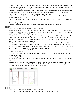- No attacking player is allowed inside the build-out area on goal kicks until the ball is kicked. This is to aid the defending team in working the ball up field to restart the game. The build-out area is the area between the goal line and the build-out line across the field.
- Free kicks will be assessed as a result of an infraction. All kicks resulting from a foul are considered indirect kicks and may not be kicked directly into the goal prior to touching another player.
- Substitutions will only be made during the 1-minute water breaks.
- A player who does a throw-in incorrectly will be instructed and allowed to re-throw the ball.
- There will be no off-side calls.
- Heading the ball is NOT allowed. The penalty for heading the ball is an indirect kick at the spot of the infraction.
- Slide tackling is NOT allowed.
- Begin teaching players the basic positions of defender, midfielders, and forward.

#### U9/U10 7v7

- Each half is 25 minutes. The halftime break is 5 minutes.
- There IS a goalie in this division (the goalie position is included in the 7 players). Goalies may use their hands to pick up the ball anywhere in the box. There are no drop kicks. Balls that are picked up in the box will be thrown by the goalie.
- If a player passes the ball to the goalie on his/her team, the goalie may NOT use his/her hands to pick up the ball. This will be called a handball, and the other team will get the ball at the place where the penalty occurred. A player MAY pass the ball to the goalie, but the goalie is only allowed to kick the ball in that situation.
- No attacking player is allowed inside the build-out area on goal kicks until the ball is kicked. In addition, anytime the goalkeeper has the ball, the opposition must retreat behind the build out line. This is to aid the defending team on working the ball up field to restart the game. The build-out area is the area between the goal line and the build-out line.
- Substitutions will be made at the halfway line when the ball is out of play and permission has been granted by the referee.
- Possession is lost when a player does a throw-in incorrectly. There are no warnings; the ball is given to the other team.
- Slide tackling is NOT allowed.
- Heading the ball is NOT allowed. The penalty for heading the ball is an indirect kick at the spot of the infraction.
- Offside rule only applies in the area past the build-out line. A player is called offside if he/she is nearer to the opponent's goal than both the ball and the last opponent (not including the goalkeeper) when his teammate plays the ball to him/her.



#### U11/U12 9v9

- Each half is 30 minutes. The halftime break is 5 minutes.
- In this division, the goalie may drop kick the ball, and there is no build-out line.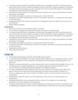- If a player passes the ball to the goalie on his/her team, the goalie may NOT use his/her hands to pick up the ball. This will be called a handball, and the other team will gain possession of the ball at the place where the penalty occurred. A player MAY pass the ball to the goalie, but the goalie is only allowed to kick the ball in that situation.
- Substitutions will be made at the halfway line when the ball is out of play and permission has been granted by the referee.
- The offside rule applies anywhere on the opponent's half of the field.
- Possession is lost when a player does a throw-in incorrectly. There are no warnings; the ball is given to the other team.
- Heading the ball is NOT allowed. The penalty for heading the ball is an indirect kick at the spot of the infraction.
- Slide tackling is allowed.

#### U13/U14/U15 11v11

- Each half is 35 minutes. The halftime break is 5 minutes.
- In this division, the goalie may drop kick the ball, and there is no build-out line.
- If a player passes the ball to the goalie on his/her team, the goalie may NOT use his/her hands to pick up the ball. This will be called a handball, and the other team will gain possession of the ball at the place where the penalty occurred. A player MAY pass the ball to the goalie, but the goalie is only allowed to kick the ball in that situation.
- Substitutions will be made at the halfway line when the ball is out of play and permission has been granted by the referee.
- The offside rule applies anywhere on the opponent's half of the field.
- Possession is lost when a player does a throw-in incorrectly. There are no warnings; the ball is given to the other team.
- Heading the ball is allowed.
- Slide tackling is allowed.

# Playing Time

- All developmental players shall play at least 50% of each game.
- A coach may be permitted to not play a player 50% of a game due to disciplinary reasons for that player. This decision must be made after consulting first with that player's parent/guardian and OFA Staff.
- Please try to keep playing time on junior development teams as balanced as possible. The focus at this age group is on player development, and valuable game minutes are important to this process. This also includes giving players experience in different positions.
- For senior development teams, please make sure every player is on the field at least 50% of the game. This does that mean that every player plays the exact same number of minutes. For instance, starters may play more minutes in an effort to give your team the best chance to be competitive.
- Playing time on premier teams is up to the discretion of the coach and will be earned, not guaranteed.
- Unlimited substitutions may be allowed with the consent of the referee on any dead ball. Substitutions must be made from the centerline.
- No player will be allowed to play if he/she is bleeding. The player may not return to the game until the bleeding has stopped and the wound is appropriately covered with the necessary bandages.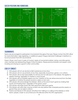# Soccer positions and formations



# **TOURNAMENTS**

Teams are encouraged to participate in tournaments throughout the year. Please contact the OFA office for more information, help registering, or additional support. Rogue Memorial Challenge in Medford is a local tournament that OFA recommends.

Parent, Player, and Coach Codes of Conduct apply at tournaments before, during, and after games when members are representing Oregon Futbol Academy. Please practice kindness and respect when traveling and staying as a guest in other communities.

# Code of Conduct

- 1) OFA players will not use alcohol or illicit substances at any time.
- 2) OFA players will not use profanity at any time, especially at practices, games, or in uniform.
- 3) OFA players will accept responsibility for all fouls and not talk back to the referee. This applies to referee warnings, regardless of whether a card is issued.
- 4) OFA players will not retaliate against any foul. Violators of this rule will be removed from the field, regardless of whether the player receives a yellow or red card.
- 5) OFA players will acknowledge the referees' efforts at the end of each game by shaking their hands and thanking them, regardless of the game's result.
- 6) OFA players will shake hands with their opponents after each game.
- 7) OFA players will notify their coaches at least one day before their scheduled practice session or game if they are not able to attend.
- 8) Parents and friends of OFA players will refrain from talking to or yelling at the referees or other teams' players. Under no circumstances is this allowed within the OFA organization.